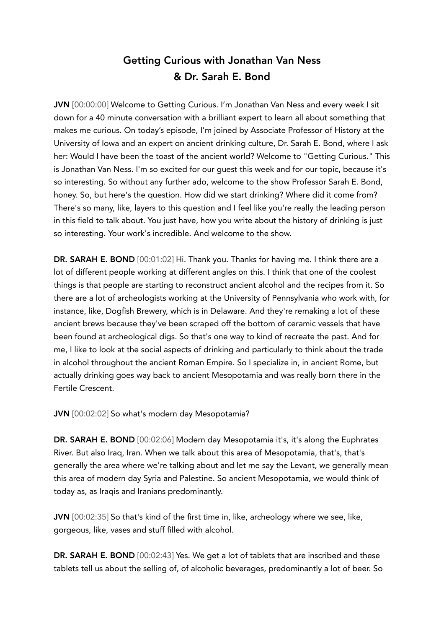# Getting Curious with Jonathan Van Ness & Dr. Sarah E. Bond

JVN [00:00:00] Welcome to Getting Curious. I'm Jonathan Van Ness and every week I sit down for a 40 minute conversation with a brilliant expert to learn all about something that makes me curious. On today's episode, I'm joined by Associate Professor of History at the University of Iowa and an expert on ancient drinking culture, Dr. Sarah E. Bond, where I ask her: Would I have been the toast of the ancient world? Welcome to "Getting Curious." This is Jonathan Van Ness. I'm so excited for our guest this week and for our topic, because it's so interesting. So without any further ado, welcome to the show Professor Sarah E. Bond, honey. So, but here's the question. How did we start drinking? Where did it come from? There's so many, like, layers to this question and I feel like you're really the leading person in this field to talk about. You just have, how you write about the history of drinking is just so interesting. Your work's incredible. And welcome to the show.

DR. SARAH E. BOND [00:01:02] Hi. Thank you. Thanks for having me. I think there are a lot of different people working at different angles on this. I think that one of the coolest things is that people are starting to reconstruct ancient alcohol and the recipes from it. So there are a lot of archeologists working at the University of Pennsylvania who work with, for instance, like, Dogfish Brewery, which is in Delaware. And they're remaking a lot of these ancient brews because they've been scraped off the bottom of ceramic vessels that have been found at archeological digs. So that's one way to kind of recreate the past. And for me, I like to look at the social aspects of drinking and particularly to think about the trade in alcohol throughout the ancient Roman Empire. So I specialize in, in ancient Rome, but actually drinking goes way back to ancient Mesopotamia and was really born there in the Fertile Crescent.

JVN [00:02:02] So what's modern day Mesopotamia?

DR. SARAH E. BOND [00:02:06] Modern day Mesopotamia it's, it's along the Euphrates River. But also Iraq, Iran. When we talk about this area of Mesopotamia, that's, that's generally the area where we're talking about and let me say the Levant, we generally mean this area of modern day Syria and Palestine. So ancient Mesopotamia, we would think of today as, as Iraqis and Iranians predominantly.

JVN [00:02:35] So that's kind of the first time in, like, archeology where we see, like, gorgeous, like, vases and stuff filled with alcohol.

DR. SARAH E. BOND [00:02:43] Yes. We get a lot of tablets that are inscribed and these tablets tell us about the selling of, of alcoholic beverages, predominantly a lot of beer. So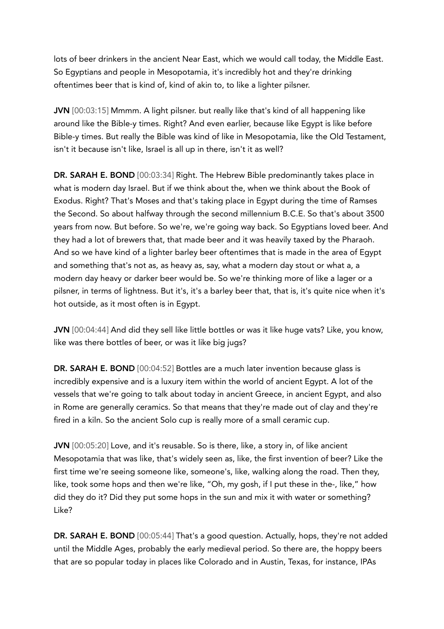lots of beer drinkers in the ancient Near East, which we would call today, the Middle East. So Egyptians and people in Mesopotamia, it's incredibly hot and they're drinking oftentimes beer that is kind of, kind of akin to, to like a lighter pilsner.

JVN [00:03:15] Mmmm. A light pilsner. but really like that's kind of all happening like around like the Bible-y times. Right? And even earlier, because like Egypt is like before Bible-y times. But really the Bible was kind of like in Mesopotamia, like the Old Testament, isn't it because isn't like, Israel is all up in there, isn't it as well?

DR. SARAH E. BOND [00:03:34] Right. The Hebrew Bible predominantly takes place in what is modern day Israel. But if we think about the, when we think about the Book of Exodus. Right? That's Moses and that's taking place in Egypt during the time of Ramses the Second. So about halfway through the second millennium B.C.E. So that's about 3500 years from now. But before. So we're, we're going way back. So Egyptians loved beer. And they had a lot of brewers that, that made beer and it was heavily taxed by the Pharaoh. And so we have kind of a lighter barley beer oftentimes that is made in the area of Egypt and something that's not as, as heavy as, say, what a modern day stout or what a, a modern day heavy or darker beer would be. So we're thinking more of like a lager or a pilsner, in terms of lightness. But it's, it's a barley beer that, that is, it's quite nice when it's hot outside, as it most often is in Egypt.

JVN [00:04:44] And did they sell like little bottles or was it like huge vats? Like, you know, like was there bottles of beer, or was it like big jugs?

DR. SARAH E. BOND [00:04:52] Bottles are a much later invention because glass is incredibly expensive and is a luxury item within the world of ancient Egypt. A lot of the vessels that we're going to talk about today in ancient Greece, in ancient Egypt, and also in Rome are generally ceramics. So that means that they're made out of clay and they're fired in a kiln. So the ancient Solo cup is really more of a small ceramic cup.

JVN [00:05:20] Love, and it's reusable. So is there, like, a story in, of like ancient Mesopotamia that was like, that's widely seen as, like, the first invention of beer? Like the first time we're seeing someone like, someone's, like, walking along the road. Then they, like, took some hops and then we're like, "Oh, my gosh, if I put these in the-, like," how did they do it? Did they put some hops in the sun and mix it with water or something? Like?

DR. SARAH E. BOND [00:05:44] That's a good question. Actually, hops, they're not added until the Middle Ages, probably the early medieval period. So there are, the hoppy beers that are so popular today in places like Colorado and in Austin, Texas, for instance, IPAs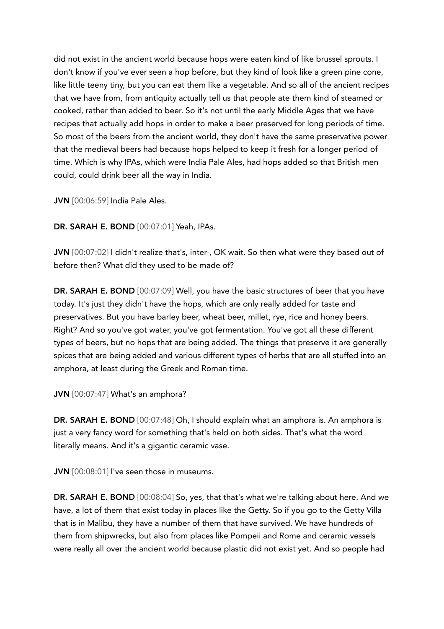did not exist in the ancient world because hops were eaten kind of like brussel sprouts. I don't know if you've ever seen a hop before, but they kind of look like a green pine cone, like little teeny tiny, but you can eat them like a vegetable. And so all of the ancient recipes that we have from, from antiquity actually tell us that people ate them kind of steamed or cooked, rather than added to beer. So it's not until the early Middle Ages that we have recipes that actually add hops in order to make a beer preserved for long periods of time. So most of the beers from the ancient world, they don't have the same preservative power that the medieval beers had because hops helped to keep it fresh for a longer period of time. Which is why IPAs, which were India Pale Ales, had hops added so that British men could, could drink beer all the way in India.

JVN [00:06:59] India Pale Ales.

DR. SARAH E. BOND [00:07:01] Yeah, IPAs.

JVN [00:07:02] I didn't realize that's, inter-, OK wait. So then what were they based out of before then? What did they used to be made of?

DR. SARAH E. BOND [00:07:09] Well, you have the basic structures of beer that you have today. It's just they didn't have the hops, which are only really added for taste and preservatives. But you have barley beer, wheat beer, millet, rye, rice and honey beers. Right? And so you've got water, you've got fermentation. You've got all these different types of beers, but no hops that are being added. The things that preserve it are generally spices that are being added and various different types of herbs that are all stuffed into an amphora, at least during the Greek and Roman time.

JVN [00:07:47] What's an amphora?

DR. SARAH E. BOND [00:07:48] Oh, I should explain what an amphora is. An amphora is just a very fancy word for something that's held on both sides. That's what the word literally means. And it's a gigantic ceramic vase.

JVN [00:08:01] I've seen those in museums.

DR. SARAH E. BOND [00:08:04] So, yes, that that's what we're talking about here. And we have, a lot of them that exist today in places like the Getty. So if you go to the Getty Villa that is in Malibu, they have a number of them that have survived. We have hundreds of them from shipwrecks, but also from places like Pompeii and Rome and ceramic vessels were really all over the ancient world because plastic did not exist yet. And so people had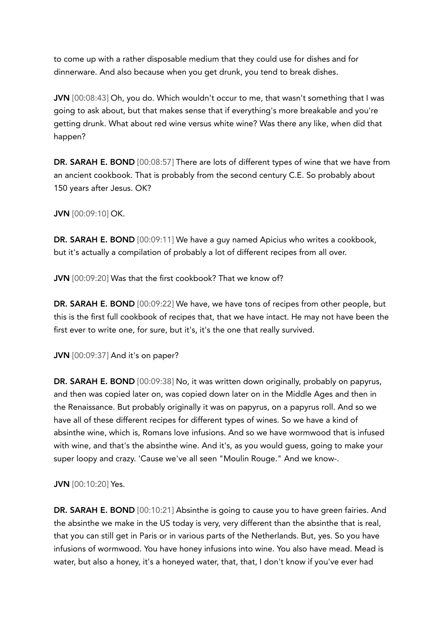to come up with a rather disposable medium that they could use for dishes and for dinnerware. And also because when you get drunk, you tend to break dishes.

JVN [00:08:43] Oh, you do. Which wouldn't occur to me, that wasn't something that I was going to ask about, but that makes sense that if everything's more breakable and you're getting drunk. What about red wine versus white wine? Was there any like, when did that happen?

DR. SARAH E. BOND [00:08:57] There are lots of different types of wine that we have from an ancient cookbook. That is probably from the second century C.E. So probably about 150 years after Jesus. OK?

JVN [00:09:10] OK.

DR. SARAH E. BOND [00:09:11] We have a guy named Apicius who writes a cookbook, but it's actually a compilation of probably a lot of different recipes from all over.

JVN [00:09:20] Was that the first cookbook? That we know of?

DR. SARAH E. BOND [00:09:22] We have, we have tons of recipes from other people, but this is the first full cookbook of recipes that, that we have intact. He may not have been the first ever to write one, for sure, but it's, it's the one that really survived.

JVN [00:09:37] And it's on paper?

DR. SARAH E. BOND [00:09:38] No, it was written down originally, probably on papyrus, and then was copied later on, was copied down later on in the Middle Ages and then in the Renaissance. But probably originally it was on papyrus, on a papyrus roll. And so we have all of these different recipes for different types of wines. So we have a kind of absinthe wine, which is, Romans love infusions. And so we have wormwood that is infused with wine, and that's the absinthe wine. And it's, as you would guess, going to make your super loopy and crazy. 'Cause we've all seen "Moulin Rouge." And we know-.

#### JVN [00:10:20] Yes.

DR. SARAH E. BOND [00:10:21] Absinthe is going to cause you to have green fairies. And the absinthe we make in the US today is very, very different than the absinthe that is real, that you can still get in Paris or in various parts of the Netherlands. But, yes. So you have infusions of wormwood. You have honey infusions into wine. You also have mead. Mead is water, but also a honey, it's a honeyed water, that, that, I don't know if you've ever had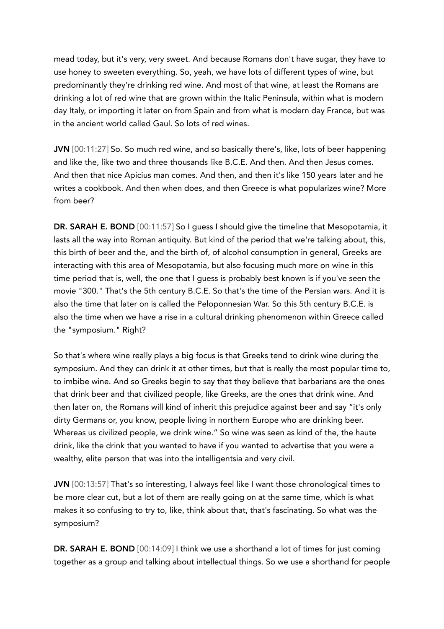mead today, but it's very, very sweet. And because Romans don't have sugar, they have to use honey to sweeten everything. So, yeah, we have lots of different types of wine, but predominantly they're drinking red wine. And most of that wine, at least the Romans are drinking a lot of red wine that are grown within the Italic Peninsula, within what is modern day Italy, or importing it later on from Spain and from what is modern day France, but was in the ancient world called Gaul. So lots of red wines.

JVN [00:11:27] So. So much red wine, and so basically there's, like, lots of beer happening and like the, like two and three thousands like B.C.E. And then. And then Jesus comes. And then that nice Apicius man comes. And then, and then it's like 150 years later and he writes a cookbook. And then when does, and then Greece is what popularizes wine? More from beer?

DR. SARAH E. BOND [00:11:57] So I guess I should give the timeline that Mesopotamia, it lasts all the way into Roman antiquity. But kind of the period that we're talking about, this, this birth of beer and the, and the birth of, of alcohol consumption in general, Greeks are interacting with this area of Mesopotamia, but also focusing much more on wine in this time period that is, well, the one that I guess is probably best known is if you've seen the movie "300." That's the 5th century B.C.E. So that's the time of the Persian wars. And it is also the time that later on is called the Peloponnesian War. So this 5th century B.C.E. is also the time when we have a rise in a cultural drinking phenomenon within Greece called the "symposium." Right?

So that's where wine really plays a big focus is that Greeks tend to drink wine during the symposium. And they can drink it at other times, but that is really the most popular time to, to imbibe wine. And so Greeks begin to say that they believe that barbarians are the ones that drink beer and that civilized people, like Greeks, are the ones that drink wine. And then later on, the Romans will kind of inherit this prejudice against beer and say "it's only dirty Germans or, you know, people living in northern Europe who are drinking beer. Whereas us civilized people, we drink wine." So wine was seen as kind of the, the haute drink, like the drink that you wanted to have if you wanted to advertise that you were a wealthy, elite person that was into the intelligentsia and very civil.

JVN [00:13:57] That's so interesting, I always feel like I want those chronological times to be more clear cut, but a lot of them are really going on at the same time, which is what makes it so confusing to try to, like, think about that, that's fascinating. So what was the symposium?

DR. SARAH E. BOND [00:14:09] I think we use a shorthand a lot of times for just coming together as a group and talking about intellectual things. So we use a shorthand for people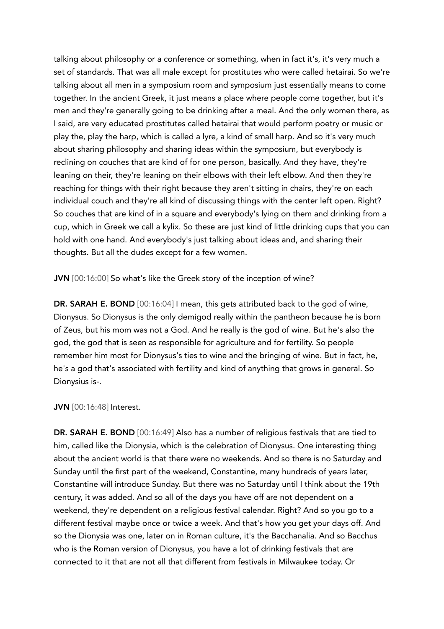talking about philosophy or a conference or something, when in fact it's, it's very much a set of standards. That was all male except for prostitutes who were called hetairai. So we're talking about all men in a symposium room and symposium just essentially means to come together. In the ancient Greek, it just means a place where people come together, but it's men and they're generally going to be drinking after a meal. And the only women there, as I said, are very educated prostitutes called hetairai that would perform poetry or music or play the, play the harp, which is called a lyre, a kind of small harp. And so it's very much about sharing philosophy and sharing ideas within the symposium, but everybody is reclining on couches that are kind of for one person, basically. And they have, they're leaning on their, they're leaning on their elbows with their left elbow. And then they're reaching for things with their right because they aren't sitting in chairs, they're on each individual couch and they're all kind of discussing things with the center left open. Right? So couches that are kind of in a square and everybody's lying on them and drinking from a cup, which in Greek we call a kylix. So these are just kind of little drinking cups that you can hold with one hand. And everybody's just talking about ideas and, and sharing their thoughts. But all the dudes except for a few women.

JVN [00:16:00] So what's like the Greek story of the inception of wine?

DR. SARAH E. BOND [00:16:04] I mean, this gets attributed back to the god of wine, Dionysus. So Dionysus is the only demigod really within the pantheon because he is born of Zeus, but his mom was not a God. And he really is the god of wine. But he's also the god, the god that is seen as responsible for agriculture and for fertility. So people remember him most for Dionysus's ties to wine and the bringing of wine. But in fact, he, he's a god that's associated with fertility and kind of anything that grows in general. So Dionysius is-.

#### JVN [00:16:48] Interest.

DR. SARAH E. BOND [00:16:49] Also has a number of religious festivals that are tied to him, called like the Dionysia, which is the celebration of Dionysus. One interesting thing about the ancient world is that there were no weekends. And so there is no Saturday and Sunday until the first part of the weekend, Constantine, many hundreds of years later, Constantine will introduce Sunday. But there was no Saturday until I think about the 19th century, it was added. And so all of the days you have off are not dependent on a weekend, they're dependent on a religious festival calendar. Right? And so you go to a different festival maybe once or twice a week. And that's how you get your days off. And so the Dionysia was one, later on in Roman culture, it's the Bacchanalia. And so Bacchus who is the Roman version of Dionysus, you have a lot of drinking festivals that are connected to it that are not all that different from festivals in Milwaukee today. Or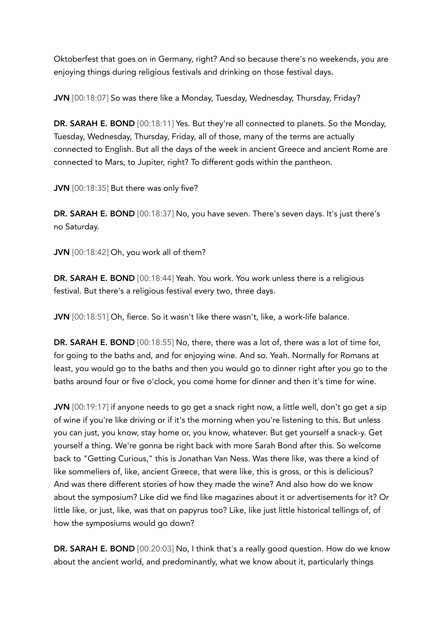Oktoberfest that goes on in Germany, right? And so because there's no weekends, you are enjoying things during religious festivals and drinking on those festival days.

JVN [00:18:07] So was there like a Monday, Tuesday, Wednesday, Thursday, Friday?

DR. SARAH E. BOND [00:18:11] Yes. But they're all connected to planets. So the Monday, Tuesday, Wednesday, Thursday, Friday, all of those, many of the terms are actually connected to English. But all the days of the week in ancient Greece and ancient Rome are connected to Mars, to Jupiter, right? To different gods within the pantheon.

JVN [00:18:35] But there was only five?

DR. SARAH E. BOND [00:18:37] No, you have seven. There's seven days. It's just there's no Saturday.

JVN [00:18:42] Oh, you work all of them?

DR. SARAH E. BOND [00:18:44] Yeah. You work. You work unless there is a religious festival. But there's a religious festival every two, three days.

JVN [00:18:51] Oh, fierce. So it wasn't like there wasn't, like, a work-life balance.

DR. SARAH E. BOND [00:18:55] No, there, there was a lot of, there was a lot of time for, for going to the baths and, and for enjoying wine. And so. Yeah. Normally for Romans at least, you would go to the baths and then you would go to dinner right after you go to the baths around four or five o'clock, you come home for dinner and then it's time for wine.

JVN [00:19:17] if anyone needs to go get a snack right now, a little well, don't go get a sip of wine if you're like driving or if it's the morning when you're listening to this. But unless you can just, you know, stay home or, you know, whatever. But get yourself a snack-y. Get yourself a thing. We're gonna be right back with more Sarah Bond after this. So welcome back to "Getting Curious," this is Jonathan Van Ness. Was there like, was there a kind of like sommeliers of, like, ancient Greece, that were like, this is gross, or this is delicious? And was there different stories of how they made the wine? And also how do we know about the symposium? Like did we find like magazines about it or advertisements for it? Or little like, or just, like, was that on papyrus too? Like, like just little historical tellings of, of how the symposiums would go down?

DR. SARAH E. BOND [00:20:03] No, I think that's a really good question. How do we know about the ancient world, and predominantly, what we know about it, particularly things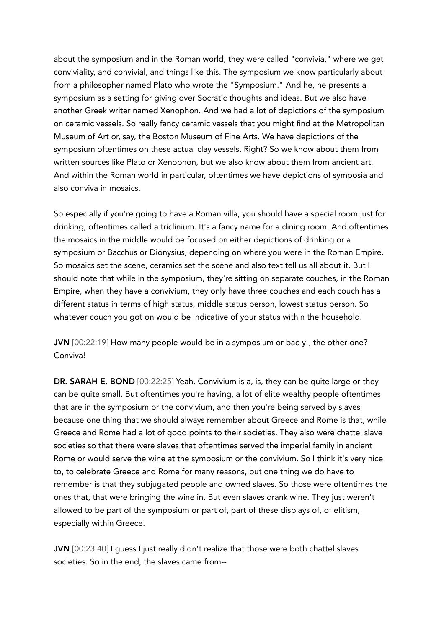about the symposium and in the Roman world, they were called "convivia," where we get conviviality, and convivial, and things like this. The symposium we know particularly about from a philosopher named Plato who wrote the "Symposium." And he, he presents a symposium as a setting for giving over Socratic thoughts and ideas. But we also have another Greek writer named Xenophon. And we had a lot of depictions of the symposium on ceramic vessels. So really fancy ceramic vessels that you might find at the Metropolitan Museum of Art or, say, the Boston Museum of Fine Arts. We have depictions of the symposium oftentimes on these actual clay vessels. Right? So we know about them from written sources like Plato or Xenophon, but we also know about them from ancient art. And within the Roman world in particular, oftentimes we have depictions of symposia and also conviva in mosaics.

So especially if you're going to have a Roman villa, you should have a special room just for drinking, oftentimes called a triclinium. It's a fancy name for a dining room. And oftentimes the mosaics in the middle would be focused on either depictions of drinking or a symposium or Bacchus or Dionysius, depending on where you were in the Roman Empire. So mosaics set the scene, ceramics set the scene and also text tell us all about it. But I should note that while in the symposium, they're sitting on separate couches, in the Roman Empire, when they have a convivium, they only have three couches and each couch has a different status in terms of high status, middle status person, lowest status person. So whatever couch you got on would be indicative of your status within the household.

JVN [00:22:19] How many people would be in a symposium or bac-y-, the other one? Conviva!

DR. SARAH E. BOND [00:22:25] Yeah. Convivium is a, is, they can be quite large or they can be quite small. But oftentimes you're having, a lot of elite wealthy people oftentimes that are in the symposium or the convivium, and then you're being served by slaves because one thing that we should always remember about Greece and Rome is that, while Greece and Rome had a lot of good points to their societies. They also were chattel slave societies so that there were slaves that oftentimes served the imperial family in ancient Rome or would serve the wine at the symposium or the convivium. So I think it's very nice to, to celebrate Greece and Rome for many reasons, but one thing we do have to remember is that they subjugated people and owned slaves. So those were oftentimes the ones that, that were bringing the wine in. But even slaves drank wine. They just weren't allowed to be part of the symposium or part of, part of these displays of, of elitism, especially within Greece.

JVN [00:23:40] I guess I just really didn't realize that those were both chattel slaves societies. So in the end, the slaves came from--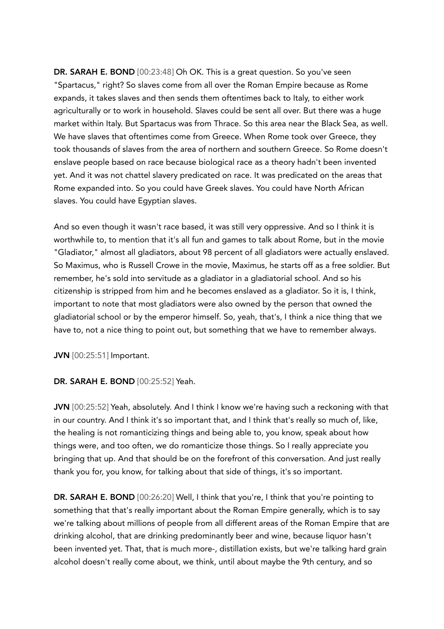DR. SARAH E. BOND [00:23:48] Oh OK. This is a great question. So you've seen "Spartacus," right? So slaves come from all over the Roman Empire because as Rome expands, it takes slaves and then sends them oftentimes back to Italy, to either work agriculturally or to work in household. Slaves could be sent all over. But there was a huge market within Italy. But Spartacus was from Thrace. So this area near the Black Sea, as well. We have slaves that oftentimes come from Greece. When Rome took over Greece, they took thousands of slaves from the area of northern and southern Greece. So Rome doesn't enslave people based on race because biological race as a theory hadn't been invented yet. And it was not chattel slavery predicated on race. It was predicated on the areas that Rome expanded into. So you could have Greek slaves. You could have North African slaves. You could have Egyptian slaves.

And so even though it wasn't race based, it was still very oppressive. And so I think it is worthwhile to, to mention that it's all fun and games to talk about Rome, but in the movie "Gladiator," almost all gladiators, about 98 percent of all gladiators were actually enslaved. So Maximus, who is Russell Crowe in the movie, Maximus, he starts off as a free soldier. But remember, he's sold into servitude as a gladiator in a gladiatorial school. And so his citizenship is stripped from him and he becomes enslaved as a gladiator. So it is, I think, important to note that most gladiators were also owned by the person that owned the gladiatorial school or by the emperor himself. So, yeah, that's, I think a nice thing that we have to, not a nice thing to point out, but something that we have to remember always.

JVN [00:25:51] Important.

#### DR. SARAH E. BOND [00:25:52] Yeah.

JVN [00:25:52] Yeah, absolutely. And I think I know we're having such a reckoning with that in our country. And I think it's so important that, and I think that's really so much of, like, the healing is not romanticizing things and being able to, you know, speak about how things were, and too often, we do romanticize those things. So I really appreciate you bringing that up. And that should be on the forefront of this conversation. And just really thank you for, you know, for talking about that side of things, it's so important.

DR. SARAH E. BOND [00:26:20] Well, I think that you're, I think that you're pointing to something that that's really important about the Roman Empire generally, which is to say we're talking about millions of people from all different areas of the Roman Empire that are drinking alcohol, that are drinking predominantly beer and wine, because liquor hasn't been invented yet. That, that is much more-, distillation exists, but we're talking hard grain alcohol doesn't really come about, we think, until about maybe the 9th century, and so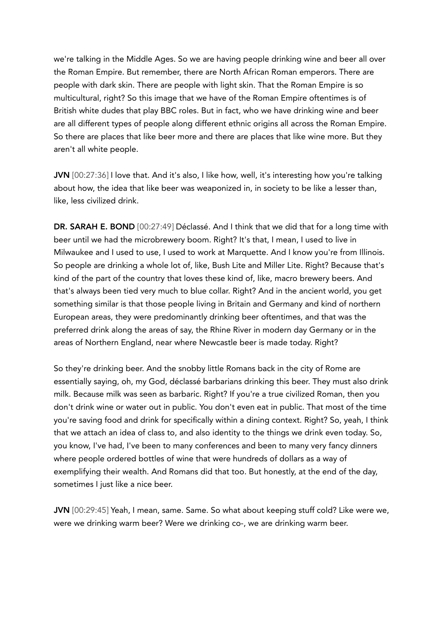we're talking in the Middle Ages. So we are having people drinking wine and beer all over the Roman Empire. But remember, there are North African Roman emperors. There are people with dark skin. There are people with light skin. That the Roman Empire is so multicultural, right? So this image that we have of the Roman Empire oftentimes is of British white dudes that play BBC roles. But in fact, who we have drinking wine and beer are all different types of people along different ethnic origins all across the Roman Empire. So there are places that like beer more and there are places that like wine more. But they aren't all white people.

JVN [00:27:36] I love that. And it's also, I like how, well, it's interesting how you're talking about how, the idea that like beer was weaponized in, in society to be like a lesser than, like, less civilized drink.

DR. SARAH E. BOND [00:27:49] Déclassé. And I think that we did that for a long time with beer until we had the microbrewery boom. Right? It's that, I mean, I used to live in Milwaukee and I used to use, I used to work at Marquette. And I know you're from Illinois. So people are drinking a whole lot of, like, Bush Lite and Miller Lite. Right? Because that's kind of the part of the country that loves these kind of, like, macro brewery beers. And that's always been tied very much to blue collar. Right? And in the ancient world, you get something similar is that those people living in Britain and Germany and kind of northern European areas, they were predominantly drinking beer oftentimes, and that was the preferred drink along the areas of say, the Rhine River in modern day Germany or in the areas of Northern England, near where Newcastle beer is made today. Right?

So they're drinking beer. And the snobby little Romans back in the city of Rome are essentially saying, oh, my God, déclassé barbarians drinking this beer. They must also drink milk. Because milk was seen as barbaric. Right? If you're a true civilized Roman, then you don't drink wine or water out in public. You don't even eat in public. That most of the time you're saving food and drink for specifically within a dining context. Right? So, yeah, I think that we attach an idea of class to, and also identity to the things we drink even today. So, you know, I've had, I've been to many conferences and been to many very fancy dinners where people ordered bottles of wine that were hundreds of dollars as a way of exemplifying their wealth. And Romans did that too. But honestly, at the end of the day, sometimes I just like a nice beer.

JVN [00:29:45] Yeah, I mean, same. Same. So what about keeping stuff cold? Like were we, were we drinking warm beer? Were we drinking co-, we are drinking warm beer.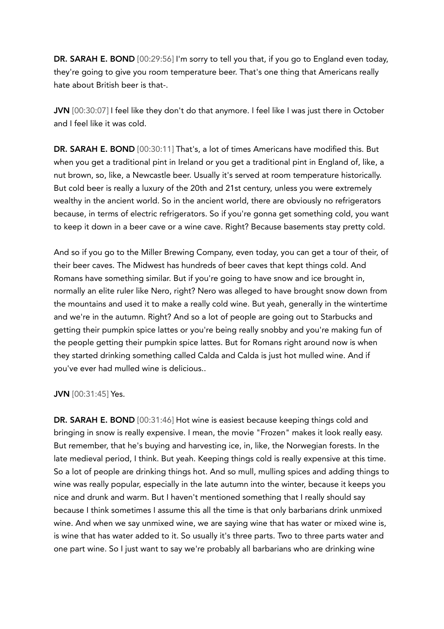DR. SARAH E. BOND [00:29:56] I'm sorry to tell you that, if you go to England even today, they're going to give you room temperature beer. That's one thing that Americans really hate about British beer is that-.

JVN  $[00:30:07]$  I feel like they don't do that anymore. I feel like I was just there in October and I feel like it was cold.

DR. SARAH E. BOND [00:30:11] That's, a lot of times Americans have modified this. But when you get a traditional pint in Ireland or you get a traditional pint in England of, like, a nut brown, so, like, a Newcastle beer. Usually it's served at room temperature historically. But cold beer is really a luxury of the 20th and 21st century, unless you were extremely wealthy in the ancient world. So in the ancient world, there are obviously no refrigerators because, in terms of electric refrigerators. So if you're gonna get something cold, you want to keep it down in a beer cave or a wine cave. Right? Because basements stay pretty cold.

And so if you go to the Miller Brewing Company, even today, you can get a tour of their, of their beer caves. The Midwest has hundreds of beer caves that kept things cold. And Romans have something similar. But if you're going to have snow and ice brought in, normally an elite ruler like Nero, right? Nero was alleged to have brought snow down from the mountains and used it to make a really cold wine. But yeah, generally in the wintertime and we're in the autumn. Right? And so a lot of people are going out to Starbucks and getting their pumpkin spice lattes or you're being really snobby and you're making fun of the people getting their pumpkin spice lattes. But for Romans right around now is when they started drinking something called Calda and Calda is just hot mulled wine. And if you've ever had mulled wine is delicious..

## JVN [00:31:45] Yes.

DR. SARAH E. BOND [00:31:46] Hot wine is easiest because keeping things cold and bringing in snow is really expensive. I mean, the movie "Frozen" makes it look really easy. But remember, that he's buying and harvesting ice, in, like, the Norwegian forests. In the late medieval period, I think. But yeah. Keeping things cold is really expensive at this time. So a lot of people are drinking things hot. And so mull, mulling spices and adding things to wine was really popular, especially in the late autumn into the winter, because it keeps you nice and drunk and warm. But I haven't mentioned something that I really should say because I think sometimes I assume this all the time is that only barbarians drink unmixed wine. And when we say unmixed wine, we are saying wine that has water or mixed wine is, is wine that has water added to it. So usually it's three parts. Two to three parts water and one part wine. So I just want to say we're probably all barbarians who are drinking wine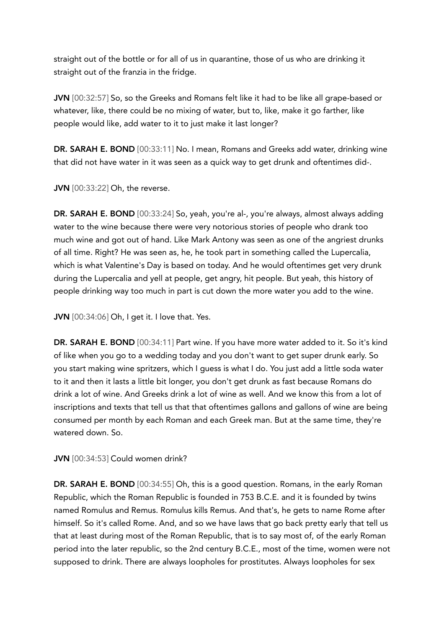straight out of the bottle or for all of us in quarantine, those of us who are drinking it straight out of the franzia in the fridge.

JVN [00:32:57] So, so the Greeks and Romans felt like it had to be like all grape-based or whatever, like, there could be no mixing of water, but to, like, make it go farther, like people would like, add water to it to just make it last longer?

DR. SARAH E. BOND [00:33:11] No. I mean, Romans and Greeks add water, drinking wine that did not have water in it was seen as a quick way to get drunk and oftentimes did-.

JVN [00:33:22] Oh, the reverse.

DR. SARAH E. BOND [00:33:24] So, yeah, you're al-, you're always, almost always adding water to the wine because there were very notorious stories of people who drank too much wine and got out of hand. Like Mark Antony was seen as one of the angriest drunks of all time. Right? He was seen as, he, he took part in something called the Lupercalia, which is what Valentine's Day is based on today. And he would oftentimes get very drunk during the Lupercalia and yell at people, get angry, hit people. But yeah, this history of people drinking way too much in part is cut down the more water you add to the wine.

JVN [00:34:06] Oh, I get it. I love that. Yes.

DR. SARAH E. BOND [00:34:11] Part wine. If you have more water added to it. So it's kind of like when you go to a wedding today and you don't want to get super drunk early. So you start making wine spritzers, which I guess is what I do. You just add a little soda water to it and then it lasts a little bit longer, you don't get drunk as fast because Romans do drink a lot of wine. And Greeks drink a lot of wine as well. And we know this from a lot of inscriptions and texts that tell us that that oftentimes gallons and gallons of wine are being consumed per month by each Roman and each Greek man. But at the same time, they're watered down. So.

JVN [00:34:53] Could women drink?

DR. SARAH E. BOND [00:34:55] Oh, this is a good question. Romans, in the early Roman Republic, which the Roman Republic is founded in 753 B.C.E. and it is founded by twins named Romulus and Remus. Romulus kills Remus. And that's, he gets to name Rome after himself. So it's called Rome. And, and so we have laws that go back pretty early that tell us that at least during most of the Roman Republic, that is to say most of, of the early Roman period into the later republic, so the 2nd century B.C.E., most of the time, women were not supposed to drink. There are always loopholes for prostitutes. Always loopholes for sex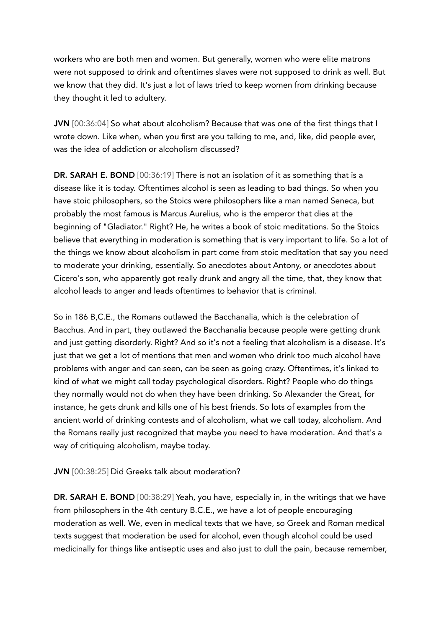workers who are both men and women. But generally, women who were elite matrons were not supposed to drink and oftentimes slaves were not supposed to drink as well. But we know that they did. It's just a lot of laws tried to keep women from drinking because they thought it led to adultery.

JVN [00:36:04] So what about alcoholism? Because that was one of the first things that I wrote down. Like when, when you first are you talking to me, and, like, did people ever, was the idea of addiction or alcoholism discussed?

DR. SARAH E. BOND [00:36:19] There is not an isolation of it as something that is a disease like it is today. Oftentimes alcohol is seen as leading to bad things. So when you have stoic philosophers, so the Stoics were philosophers like a man named Seneca, but probably the most famous is Marcus Aurelius, who is the emperor that dies at the beginning of "Gladiator." Right? He, he writes a book of stoic meditations. So the Stoics believe that everything in moderation is something that is very important to life. So a lot of the things we know about alcoholism in part come from stoic meditation that say you need to moderate your drinking, essentially. So anecdotes about Antony, or anecdotes about Cicero's son, who apparently got really drunk and angry all the time, that, they know that alcohol leads to anger and leads oftentimes to behavior that is criminal.

So in 186 B,C.E., the Romans outlawed the Bacchanalia, which is the celebration of Bacchus. And in part, they outlawed the Bacchanalia because people were getting drunk and just getting disorderly. Right? And so it's not a feeling that alcoholism is a disease. It's just that we get a lot of mentions that men and women who drink too much alcohol have problems with anger and can seen, can be seen as going crazy. Oftentimes, it's linked to kind of what we might call today psychological disorders. Right? People who do things they normally would not do when they have been drinking. So Alexander the Great, for instance, he gets drunk and kills one of his best friends. So lots of examples from the ancient world of drinking contests and of alcoholism, what we call today, alcoholism. And the Romans really just recognized that maybe you need to have moderation. And that's a way of critiquing alcoholism, maybe today.

JVN [00:38:25] Did Greeks talk about moderation?

DR. SARAH E. BOND [00:38:29] Yeah, you have, especially in, in the writings that we have from philosophers in the 4th century B.C.E., we have a lot of people encouraging moderation as well. We, even in medical texts that we have, so Greek and Roman medical texts suggest that moderation be used for alcohol, even though alcohol could be used medicinally for things like antiseptic uses and also just to dull the pain, because remember,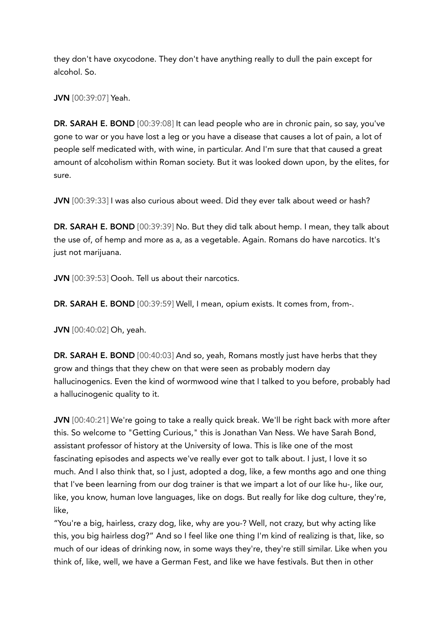they don't have oxycodone. They don't have anything really to dull the pain except for alcohol. So.

JVN [00:39:07] Yeah.

DR. SARAH E. BOND [00:39:08] It can lead people who are in chronic pain, so say, you've gone to war or you have lost a leg or you have a disease that causes a lot of pain, a lot of people self medicated with, with wine, in particular. And I'm sure that that caused a great amount of alcoholism within Roman society. But it was looked down upon, by the elites, for sure.

JVN [00:39:33] I was also curious about weed. Did they ever talk about weed or hash?

DR. SARAH E. BOND [00:39:39] No. But they did talk about hemp. I mean, they talk about the use of, of hemp and more as a, as a vegetable. Again. Romans do have narcotics. It's just not marijuana.

JVN [00:39:53] Oooh. Tell us about their narcotics.

DR. SARAH E. BOND [00:39:59] Well, I mean, opium exists. It comes from, from-.

JVN [00:40:02] Oh, yeah.

DR. SARAH E. BOND [00:40:03] And so, yeah, Romans mostly just have herbs that they grow and things that they chew on that were seen as probably modern day hallucinogenics. Even the kind of wormwood wine that I talked to you before, probably had a hallucinogenic quality to it.

JVN [00:40:21] We're going to take a really quick break. We'll be right back with more after this. So welcome to "Getting Curious," this is Jonathan Van Ness. We have Sarah Bond, assistant professor of history at the University of Iowa. This is like one of the most fascinating episodes and aspects we've really ever got to talk about. I just, I love it so much. And I also think that, so I just, adopted a dog, like, a few months ago and one thing that I've been learning from our dog trainer is that we impart a lot of our like hu-, like our, like, you know, human love languages, like on dogs. But really for like dog culture, they're, like,

"You're a big, hairless, crazy dog, like, why are you-? Well, not crazy, but why acting like this, you big hairless dog?" And so I feel like one thing I'm kind of realizing is that, like, so much of our ideas of drinking now, in some ways they're, they're still similar. Like when you think of, like, well, we have a German Fest, and like we have festivals. But then in other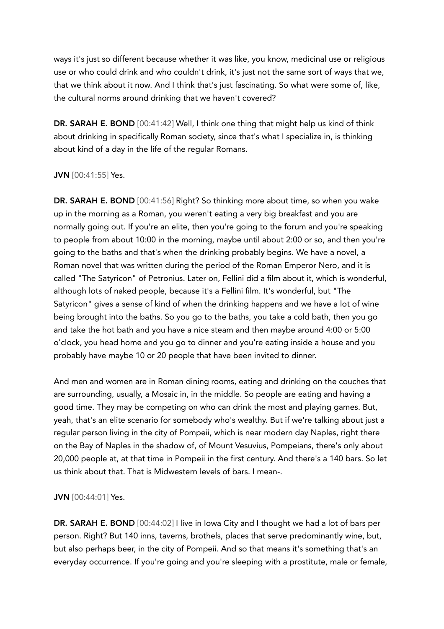ways it's just so different because whether it was like, you know, medicinal use or religious use or who could drink and who couldn't drink, it's just not the same sort of ways that we, that we think about it now. And I think that's just fascinating. So what were some of, like, the cultural norms around drinking that we haven't covered?

DR. SARAH E. BOND [00:41:42] Well, I think one thing that might help us kind of think about drinking in specifically Roman society, since that's what I specialize in, is thinking about kind of a day in the life of the regular Romans.

## JVN [00:41:55] Yes.

DR. SARAH E. BOND [00:41:56] Right? So thinking more about time, so when you wake up in the morning as a Roman, you weren't eating a very big breakfast and you are normally going out. If you're an elite, then you're going to the forum and you're speaking to people from about 10:00 in the morning, maybe until about 2:00 or so, and then you're going to the baths and that's when the drinking probably begins. We have a novel, a Roman novel that was written during the period of the Roman Emperor Nero, and it is called "The Satyricon" of Petronius. Later on, Fellini did a film about it, which is wonderful, although lots of naked people, because it's a Fellini film. It's wonderful, but "The Satyricon" gives a sense of kind of when the drinking happens and we have a lot of wine being brought into the baths. So you go to the baths, you take a cold bath, then you go and take the hot bath and you have a nice steam and then maybe around 4:00 or 5:00 o'clock, you head home and you go to dinner and you're eating inside a house and you probably have maybe 10 or 20 people that have been invited to dinner.

And men and women are in Roman dining rooms, eating and drinking on the couches that are surrounding, usually, a Mosaic in, in the middle. So people are eating and having a good time. They may be competing on who can drink the most and playing games. But, yeah, that's an elite scenario for somebody who's wealthy. But if we're talking about just a regular person living in the city of Pompeii, which is near modern day Naples, right there on the Bay of Naples in the shadow of, of Mount Vesuvius, Pompeians, there's only about 20,000 people at, at that time in Pompeii in the first century. And there's a 140 bars. So let us think about that. That is Midwestern levels of bars. I mean-.

## JVN [00:44:01] Yes.

DR. SARAH E. BOND [00:44:02] I live in Iowa City and I thought we had a lot of bars per person. Right? But 140 inns, taverns, brothels, places that serve predominantly wine, but, but also perhaps beer, in the city of Pompeii. And so that means it's something that's an everyday occurrence. If you're going and you're sleeping with a prostitute, male or female,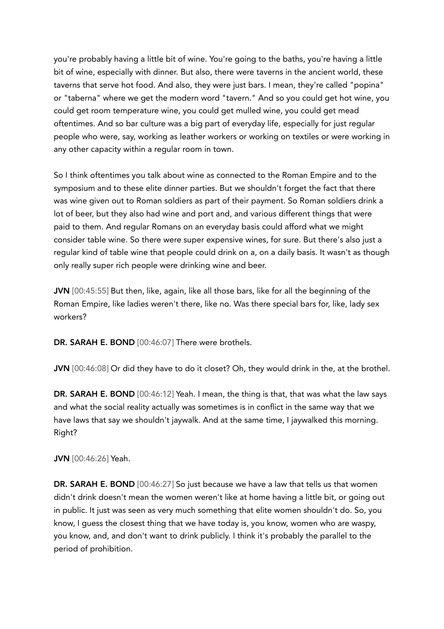you're probably having a little bit of wine. You're going to the baths, you're having a little bit of wine, especially with dinner. But also, there were taverns in the ancient world, these taverns that serve hot food. And also, they were just bars. I mean, they're called "popina" or "taberna" where we get the modern word "tavern." And so you could get hot wine, you could get room temperature wine, you could get mulled wine, you could get mead oftentimes. And so bar culture was a big part of everyday life, especially for just regular people who were, say, working as leather workers or working on textiles or were working in any other capacity within a regular room in town.

So I think oftentimes you talk about wine as connected to the Roman Empire and to the symposium and to these elite dinner parties. But we shouldn't forget the fact that there was wine given out to Roman soldiers as part of their payment. So Roman soldiers drink a lot of beer, but they also had wine and port and, and various different things that were paid to them. And regular Romans on an everyday basis could afford what we might consider table wine. So there were super expensive wines, for sure. But there's also just a regular kind of table wine that people could drink on a, on a daily basis. It wasn't as though only really super rich people were drinking wine and beer.

JVN [00:45:55] But then, like, again, like all those bars, like for all the beginning of the Roman Empire, like ladies weren't there, like no. Was there special bars for, like, lady sex workers?

DR. SARAH E. BOND [00:46:07] There were brothels.

JVN [00:46:08] Or did they have to do it closet? Oh, they would drink in the, at the brothel.

DR. SARAH E. BOND [00:46:12] Yeah. I mean, the thing is that, that was what the law says and what the social reality actually was sometimes is in conflict in the same way that we have laws that say we shouldn't jaywalk. And at the same time, I jaywalked this morning. Right?

## JVN [00:46:26] Yeah.

DR. SARAH E. BOND [00:46:27] So just because we have a law that tells us that women didn't drink doesn't mean the women weren't like at home having a little bit, or going out in public. It just was seen as very much something that elite women shouldn't do. So, you know, I guess the closest thing that we have today is, you know, women who are waspy, you know, and, and don't want to drink publicly. I think it's probably the parallel to the period of prohibition.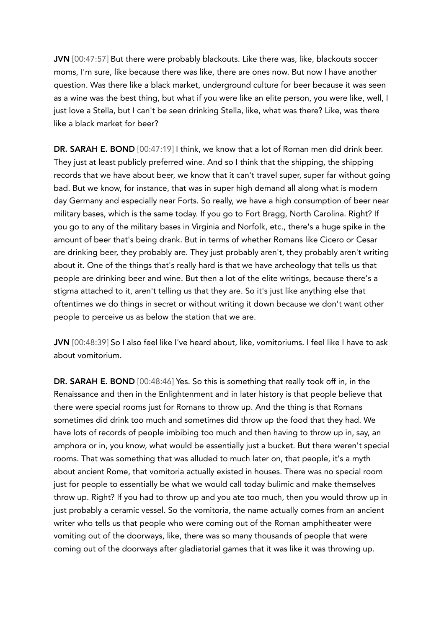JVN [00:47:57] But there were probably blackouts. Like there was, like, blackouts soccer moms, I'm sure, like because there was like, there are ones now. But now I have another question. Was there like a black market, underground culture for beer because it was seen as a wine was the best thing, but what if you were like an elite person, you were like, well, I just love a Stella, but I can't be seen drinking Stella, like, what was there? Like, was there like a black market for beer?

DR. SARAH E. BOND [00:47:19] I think, we know that a lot of Roman men did drink beer. They just at least publicly preferred wine. And so I think that the shipping, the shipping records that we have about beer, we know that it can't travel super, super far without going bad. But we know, for instance, that was in super high demand all along what is modern day Germany and especially near Forts. So really, we have a high consumption of beer near military bases, which is the same today. If you go to Fort Bragg, North Carolina. Right? If you go to any of the military bases in Virginia and Norfolk, etc., there's a huge spike in the amount of beer that's being drank. But in terms of whether Romans like Cicero or Cesar are drinking beer, they probably are. They just probably aren't, they probably aren't writing about it. One of the things that's really hard is that we have archeology that tells us that people are drinking beer and wine. But then a lot of the elite writings, because there's a stigma attached to it, aren't telling us that they are. So it's just like anything else that oftentimes we do things in secret or without writing it down because we don't want other people to perceive us as below the station that we are.

JVN [00:48:39] So I also feel like I've heard about, like, vomitoriums. I feel like I have to ask about vomitorium.

DR. SARAH E. BOND [00:48:46] Yes. So this is something that really took off in, in the Renaissance and then in the Enlightenment and in later history is that people believe that there were special rooms just for Romans to throw up. And the thing is that Romans sometimes did drink too much and sometimes did throw up the food that they had. We have lots of records of people imbibing too much and then having to throw up in, say, an amphora or in, you know, what would be essentially just a bucket. But there weren't special rooms. That was something that was alluded to much later on, that people, it's a myth about ancient Rome, that vomitoria actually existed in houses. There was no special room just for people to essentially be what we would call today bulimic and make themselves throw up. Right? If you had to throw up and you ate too much, then you would throw up in just probably a ceramic vessel. So the vomitoria, the name actually comes from an ancient writer who tells us that people who were coming out of the Roman amphitheater were vomiting out of the doorways, like, there was so many thousands of people that were coming out of the doorways after gladiatorial games that it was like it was throwing up.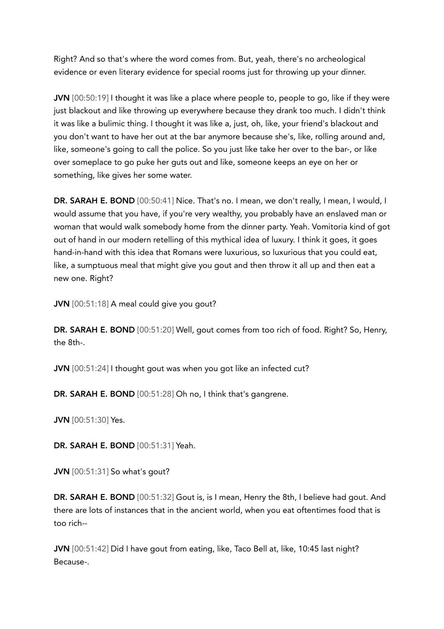Right? And so that's where the word comes from. But, yeah, there's no archeological evidence or even literary evidence for special rooms just for throwing up your dinner.

JVN [00:50:19] I thought it was like a place where people to, people to go, like if they were just blackout and like throwing up everywhere because they drank too much. I didn't think it was like a bulimic thing. I thought it was like a, just, oh, like, your friend's blackout and you don't want to have her out at the bar anymore because she's, like, rolling around and, like, someone's going to call the police. So you just like take her over to the bar-, or like over someplace to go puke her guts out and like, someone keeps an eye on her or something, like gives her some water.

DR. SARAH E. BOND [00:50:41] Nice. That's no. I mean, we don't really, I mean, I would, I would assume that you have, if you're very wealthy, you probably have an enslaved man or woman that would walk somebody home from the dinner party. Yeah. Vomitoria kind of got out of hand in our modern retelling of this mythical idea of luxury. I think it goes, it goes hand-in-hand with this idea that Romans were luxurious, so luxurious that you could eat, like, a sumptuous meal that might give you gout and then throw it all up and then eat a new one. Right?

JVN [00:51:18] A meal could give you gout?

DR. SARAH E. BOND [00:51:20] Well, gout comes from too rich of food. Right? So, Henry, the 8th-.

JVN [00:51:24] I thought gout was when you got like an infected cut?

DR. SARAH E. BOND [00:51:28] Oh no, I think that's gangrene.

JVN [00:51:30] Yes.

DR. SARAH E. BOND [00:51:31] Yeah.

JVN [00:51:31] So what's gout?

DR. SARAH E. BOND [00:51:32] Gout is, is I mean, Henry the 8th, I believe had gout. And there are lots of instances that in the ancient world, when you eat oftentimes food that is too rich--

JVN [00:51:42] Did I have gout from eating, like, Taco Bell at, like, 10:45 last night? Because-.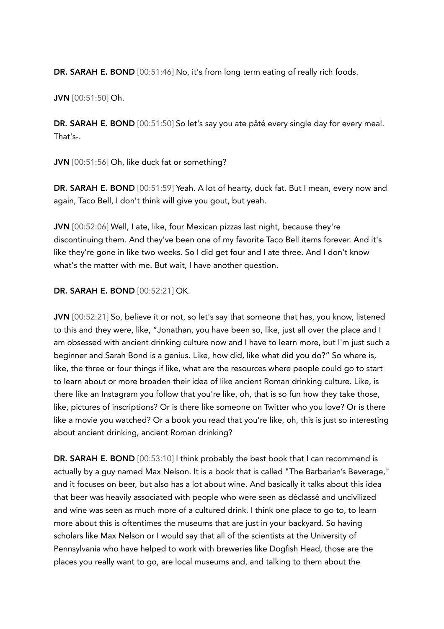DR. SARAH E. BOND [00:51:46] No, it's from long term eating of really rich foods.

JVN [00:51:50] Oh.

DR. SARAH E. BOND [00:51:50] So let's say you ate pâté every single day for every meal. That's-.

JVN [00:51:56] Oh, like duck fat or something?

DR. SARAH E. BOND [00:51:59] Yeah. A lot of hearty, duck fat. But I mean, every now and again, Taco Bell, I don't think will give you gout, but yeah.

JVN [00:52:06] Well, I ate, like, four Mexican pizzas last night, because they're discontinuing them. And they've been one of my favorite Taco Bell items forever. And it's like they're gone in like two weeks. So I did get four and I ate three. And I don't know what's the matter with me. But wait, I have another question.

## DR. SARAH E. BOND [00:52:21] OK.

JVN [00:52:21] So, believe it or not, so let's say that someone that has, you know, listened to this and they were, like, "Jonathan, you have been so, like, just all over the place and I am obsessed with ancient drinking culture now and I have to learn more, but I'm just such a beginner and Sarah Bond is a genius. Like, how did, like what did you do?" So where is, like, the three or four things if like, what are the resources where people could go to start to learn about or more broaden their idea of like ancient Roman drinking culture. Like, is there like an Instagram you follow that you're like, oh, that is so fun how they take those, like, pictures of inscriptions? Or is there like someone on Twitter who you love? Or is there like a movie you watched? Or a book you read that you're like, oh, this is just so interesting about ancient drinking, ancient Roman drinking?

DR. SARAH E. BOND [00:53:10] I think probably the best book that I can recommend is actually by a guy named Max Nelson. It is a book that is called "The Barbarian's Beverage," and it focuses on beer, but also has a lot about wine. And basically it talks about this idea that beer was heavily associated with people who were seen as déclassé and uncivilized and wine was seen as much more of a cultured drink. I think one place to go to, to learn more about this is oftentimes the museums that are just in your backyard. So having scholars like Max Nelson or I would say that all of the scientists at the University of Pennsylvania who have helped to work with breweries like Dogfish Head, those are the places you really want to go, are local museums and, and talking to them about the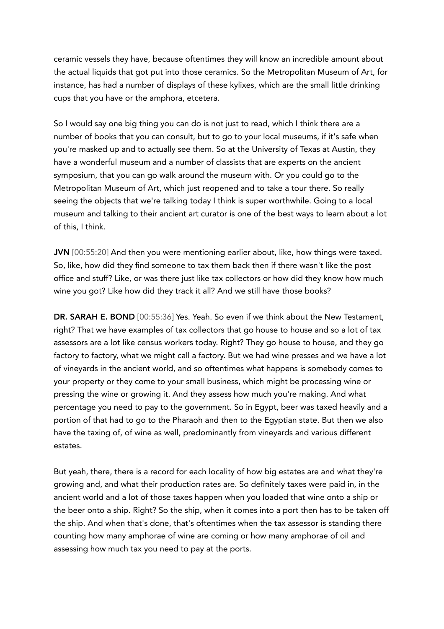ceramic vessels they have, because oftentimes they will know an incredible amount about the actual liquids that got put into those ceramics. So the Metropolitan Museum of Art, for instance, has had a number of displays of these kylixes, which are the small little drinking cups that you have or the amphora, etcetera.

So I would say one big thing you can do is not just to read, which I think there are a number of books that you can consult, but to go to your local museums, if it's safe when you're masked up and to actually see them. So at the University of Texas at Austin, they have a wonderful museum and a number of classists that are experts on the ancient symposium, that you can go walk around the museum with. Or you could go to the Metropolitan Museum of Art, which just reopened and to take a tour there. So really seeing the objects that we're talking today I think is super worthwhile. Going to a local museum and talking to their ancient art curator is one of the best ways to learn about a lot of this, I think.

JVN [00:55:20] And then you were mentioning earlier about, like, how things were taxed. So, like, how did they find someone to tax them back then if there wasn't like the post office and stuff? Like, or was there just like tax collectors or how did they know how much wine you got? Like how did they track it all? And we still have those books?

DR. SARAH E. BOND [00:55:36] Yes. Yeah. So even if we think about the New Testament, right? That we have examples of tax collectors that go house to house and so a lot of tax assessors are a lot like census workers today. Right? They go house to house, and they go factory to factory, what we might call a factory. But we had wine presses and we have a lot of vineyards in the ancient world, and so oftentimes what happens is somebody comes to your property or they come to your small business, which might be processing wine or pressing the wine or growing it. And they assess how much you're making. And what percentage you need to pay to the government. So in Egypt, beer was taxed heavily and a portion of that had to go to the Pharaoh and then to the Egyptian state. But then we also have the taxing of, of wine as well, predominantly from vineyards and various different estates.

But yeah, there, there is a record for each locality of how big estates are and what they're growing and, and what their production rates are. So definitely taxes were paid in, in the ancient world and a lot of those taxes happen when you loaded that wine onto a ship or the beer onto a ship. Right? So the ship, when it comes into a port then has to be taken off the ship. And when that's done, that's oftentimes when the tax assessor is standing there counting how many amphorae of wine are coming or how many amphorae of oil and assessing how much tax you need to pay at the ports.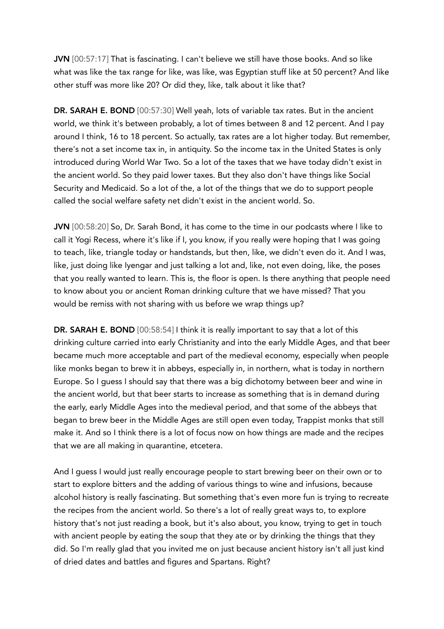JVN [00:57:17] That is fascinating. I can't believe we still have those books. And so like what was like the tax range for like, was like, was Egyptian stuff like at 50 percent? And like other stuff was more like 20? Or did they, like, talk about it like that?

DR. SARAH E. BOND [00:57:30] Well yeah, lots of variable tax rates. But in the ancient world, we think it's between probably, a lot of times between 8 and 12 percent. And I pay around I think, 16 to 18 percent. So actually, tax rates are a lot higher today. But remember, there's not a set income tax in, in antiquity. So the income tax in the United States is only introduced during World War Two. So a lot of the taxes that we have today didn't exist in the ancient world. So they paid lower taxes. But they also don't have things like Social Security and Medicaid. So a lot of the, a lot of the things that we do to support people called the social welfare safety net didn't exist in the ancient world. So.

JVN [00:58:20] So, Dr. Sarah Bond, it has come to the time in our podcasts where I like to call it Yogi Recess, where it's like if I, you know, if you really were hoping that I was going to teach, like, triangle today or handstands, but then, like, we didn't even do it. And I was, like, just doing like Iyengar and just talking a lot and, like, not even doing, like, the poses that you really wanted to learn. This is, the floor is open. Is there anything that people need to know about you or ancient Roman drinking culture that we have missed? That you would be remiss with not sharing with us before we wrap things up?

DR. SARAH E. BOND [00:58:54] I think it is really important to say that a lot of this drinking culture carried into early Christianity and into the early Middle Ages, and that beer became much more acceptable and part of the medieval economy, especially when people like monks began to brew it in abbeys, especially in, in northern, what is today in northern Europe. So I guess I should say that there was a big dichotomy between beer and wine in the ancient world, but that beer starts to increase as something that is in demand during the early, early Middle Ages into the medieval period, and that some of the abbeys that began to brew beer in the Middle Ages are still open even today, Trappist monks that still make it. And so I think there is a lot of focus now on how things are made and the recipes that we are all making in quarantine, etcetera.

And I guess I would just really encourage people to start brewing beer on their own or to start to explore bitters and the adding of various things to wine and infusions, because alcohol history is really fascinating. But something that's even more fun is trying to recreate the recipes from the ancient world. So there's a lot of really great ways to, to explore history that's not just reading a book, but it's also about, you know, trying to get in touch with ancient people by eating the soup that they ate or by drinking the things that they did. So I'm really glad that you invited me on just because ancient history isn't all just kind of dried dates and battles and figures and Spartans. Right?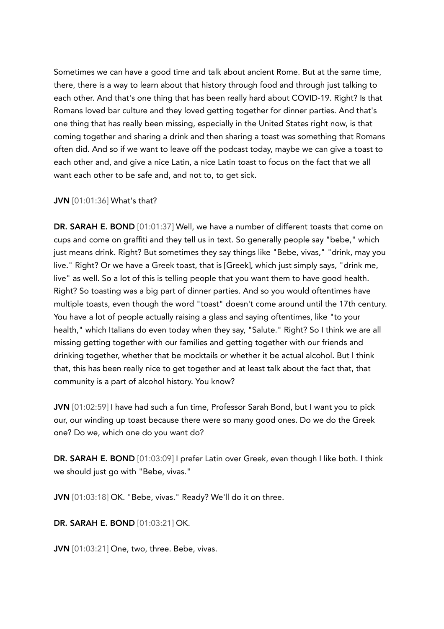Sometimes we can have a good time and talk about ancient Rome. But at the same time, there, there is a way to learn about that history through food and through just talking to each other. And that's one thing that has been really hard about COVID-19. Right? Is that Romans loved bar culture and they loved getting together for dinner parties. And that's one thing that has really been missing, especially in the United States right now, is that coming together and sharing a drink and then sharing a toast was something that Romans often did. And so if we want to leave off the podcast today, maybe we can give a toast to each other and, and give a nice Latin, a nice Latin toast to focus on the fact that we all want each other to be safe and, and not to, to get sick.

#### JVN [01:01:36] What's that?

DR. SARAH E. BOND [01:01:37] Well, we have a number of different toasts that come on cups and come on graffiti and they tell us in text. So generally people say "bebe," which just means drink. Right? But sometimes they say things like "Bebe, vivas," "drink, may you live." Right? Or we have a Greek toast, that is [Greek], which just simply says, "drink me, live" as well. So a lot of this is telling people that you want them to have good health. Right? So toasting was a big part of dinner parties. And so you would oftentimes have multiple toasts, even though the word "toast" doesn't come around until the 17th century. You have a lot of people actually raising a glass and saying oftentimes, like "to your health," which Italians do even today when they say, "Salute." Right? So I think we are all missing getting together with our families and getting together with our friends and drinking together, whether that be mocktails or whether it be actual alcohol. But I think that, this has been really nice to get together and at least talk about the fact that, that community is a part of alcohol history. You know?

JVN [01:02:59] I have had such a fun time, Professor Sarah Bond, but I want you to pick our, our winding up toast because there were so many good ones. Do we do the Greek one? Do we, which one do you want do?

DR. SARAH E. BOND [01:03:09] I prefer Latin over Greek, even though I like both. I think we should just go with "Bebe, vivas."

JVN [01:03:18] OK. "Bebe, vivas." Ready? We'll do it on three.

## DR. SARAH E. BOND [01:03:21] OK.

JVN [01:03:21] One, two, three. Bebe, vivas.